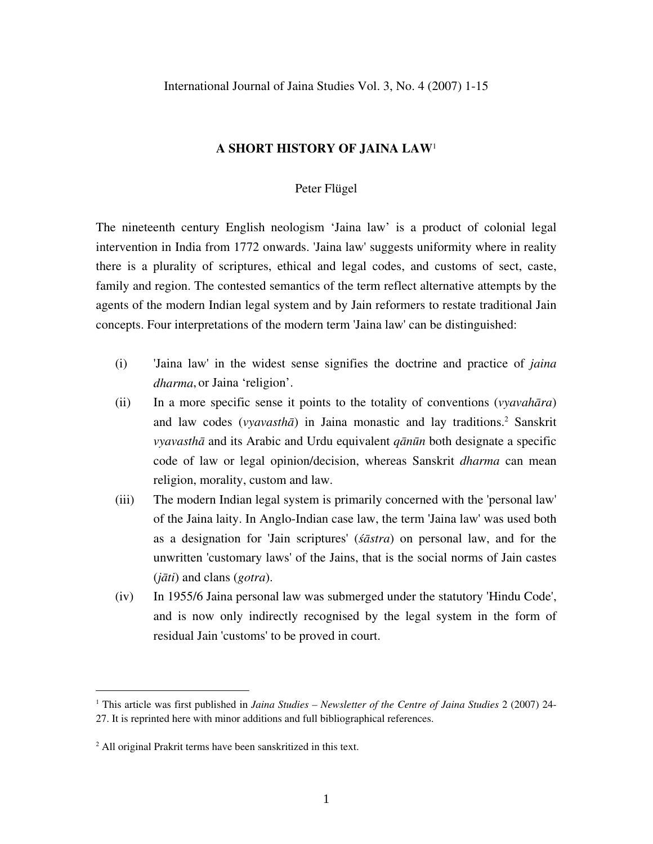International Journal of Jaina Studies Vol. 3, No. 4 (2007) 1-15

### **A SHORT HISTORY OF JAINA LAW**<sup>1</sup>

# Peter Flügel

The nineteenth century English neologism 'Jaina law' is a product of colonial legal intervention in India from 1772 onwards. 'Jaina law' suggests uniformity where in reality there is a plurality of scriptures, ethical and legal codes, and customs of sect, caste, family and region. The contested semantics of the term reflect alternative attempts by the agents of the modern Indian legal system and by Jain reformers to restate traditional Jain concepts. Four interpretations of the modern term 'Jaina law' can be distinguished:

- (i) 'Jaina law' in the widest sense signifies the doctrine and practice of *jaina dharma*, or Jaina 'religion'.
- (ii) In a more specific sense it points to the totality of conventions (*vyavahāra*) and law codes (*vyavasthā*) in Jaina monastic and lay traditions.2 Sanskrit *vyavasthā* and its Arabic and Urdu equivalent *qānūn* both designate a specific code of law or legal opinion/decision, whereas Sanskrit *dharma* can mean religion, morality, custom and law.
- (iii) The modern Indian legal system is primarily concerned with the 'personal law' of the Jaina laity. In Anglo-Indian case law, the term 'Jaina law' was used both as a designation for 'Jain scriptures' (*śāstra*) on personal law, and for the unwritten 'customary laws' of the Jains, that is the social norms of Jain castes (*jāti*) and clans (*gotra*).
- (iv) In 1955/6 Jaina personal law was submerged under the statutory 'Hindu Code', and is now only indirectly recognised by the legal system in the form of residual Jain 'customs' to be proved in court.

<sup>1</sup> This article was first published in *Jaina Studies – Newsletter of the Centre of Jaina Studies* 2 (2007) 24- 27. It is reprinted here with minor additions and full bibliographical references.

<sup>2</sup> All original Prakrit terms have been sanskritized in this text.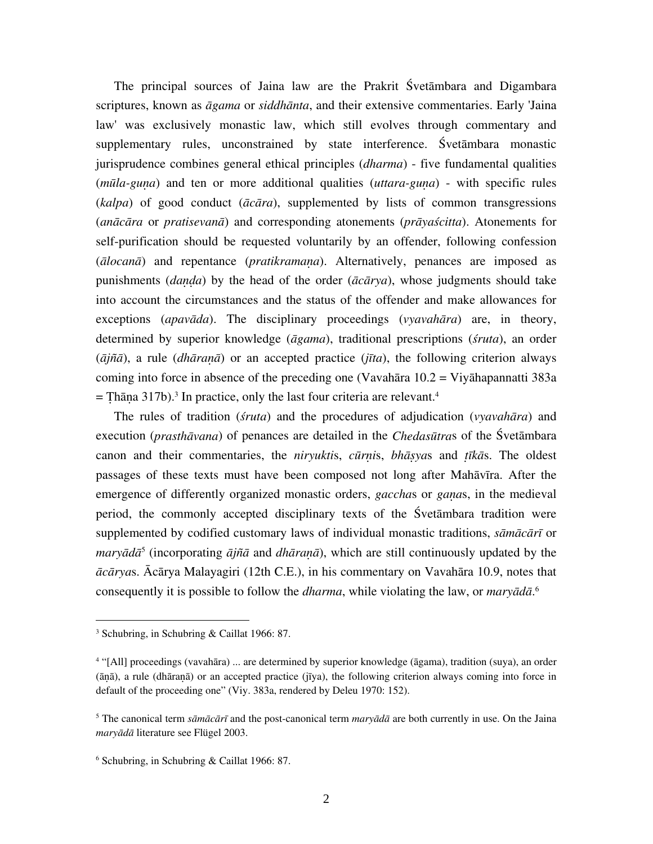The principal sources of Jaina law are the Prakrit Śvetāmbara and Digambara scriptures, known as *āgama* or *siddhānta*, and their extensive commentaries. Early 'Jaina law' was exclusively monastic law, which still evolves through commentary and supplementary rules, unconstrained by state interference. Śvetāmbara monastic jurisprudence combines general ethical principles (*dharma*) - five fundamental qualities (*mūla-guṇa*) and ten or more additional qualities (*uttara-guṇa*) - with specific rules (*kalpa*) of good conduct (*ācāra*), supplemented by lists of common transgressions (*anācāra* or *pratisevanā*) and corresponding atonements (*prāyaścitta*). Atonements for self-purification should be requested voluntarily by an offender, following confession (*ālocanā*) and repentance (*pratikramaṇa*). Alternatively, penances are imposed as punishments (*daṇḍa*) by the head of the order (*ācārya*), whose judgments should take into account the circumstances and the status of the offender and make allowances for exceptions (*apavāda*). The disciplinary proceedings (*vyavahāra*) are, in theory, determined by superior knowledge (*āgama*), traditional prescriptions (*śruta*), an order (*ājñā*), a rule (*dhāraṇā*) or an accepted practice (*jīta*), the following criterion always coming into force in absence of the preceding one (Vavahāra 10.2 = Viyāhapannatti 383a  $=$  Thāṇa 317b).<sup>3</sup> In practice, only the last four criteria are relevant.<sup>4</sup>

The rules of tradition (*śruta*) and the procedures of adjudication (*vyavahāra*) and execution (*prasthāvana*) of penances are detailed in the *Chedasūtra*s of the Śvetāmbara canon and their commentaries, the *niryukti*s, *cūrṇi*s, *bhāṣya*s and *ṭīkā*s. The oldest passages of these texts must have been composed not long after Mahāvīra. After the emergence of differently organized monastic orders, *gaccha*s or *gaṇa*s, in the medieval period, the commonly accepted disciplinary texts of the Śvetāmbara tradition were supplemented by codified customary laws of individual monastic traditions, *sāmācārī* or *maryādā*<sup>5</sup> (incorporating *ājñā* and *dhāraṇā*), which are still continuously updated by the *ācārya*s. Ācārya Malayagiri (12th C.E.), in his commentary on Vavahāra 10.9, notes that consequently it is possible to follow the *dharma*, while violating the law, or *maryādā*. 6

1

<sup>3</sup> Schubring, in Schubring & Caillat 1966: 87.

<sup>4</sup> "[All] proceedings (vavahāra) ... are determined by superior knowledge (āgama), tradition (suya), an order (āā), a rule (dhāraā) or an accepted practice (jīya), the following criterion always coming into force in default of the proceeding one" (Viy. 383a, rendered by Deleu 1970: 152).

<sup>5</sup> The canonical term *sāmācārī* and the post-canonical term *maryādā* are both currently in use. On the Jaina *maryādā* literature see Flügel 2003.

<sup>6</sup> Schubring, in Schubring & Caillat 1966: 87.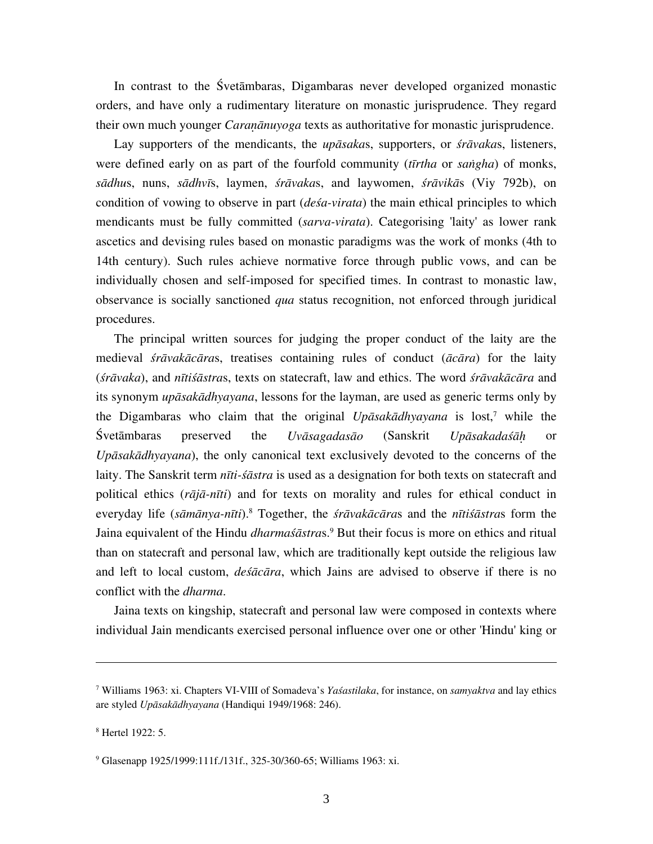In contrast to the Śvetāmbaras, Digambaras never developed organized monastic orders, and have only a rudimentary literature on monastic jurisprudence. They regard their own much younger *Caranānuyoga* texts as authoritative for monastic jurisprudence.

Lay supporters of the mendicants, the *upāsaka*s, supporters, or *śrāvaka*s, listeners, were defined early on as part of the fourfold community (*tīrtha* or *saṅgha*) of monks, *sādhu*s, nuns, *sādhvī*s, laymen, *śrāvaka*s, and laywomen, *śrāvikā*s (Viy 792b), on condition of vowing to observe in part (*deśa-virata*) the main ethical principles to which mendicants must be fully committed (*sarva-virata*). Categorising 'laity' as lower rank ascetics and devising rules based on monastic paradigms was the work of monks (4th to 14th century). Such rules achieve normative force through public vows, and can be individually chosen and self-imposed for specified times. In contrast to monastic law, observance is socially sanctioned *qua* status recognition, not enforced through juridical procedures.

The principal written sources for judging the proper conduct of the laity are the medieval *śrāvakācāra*s, treatises containing rules of conduct (*ācāra*) for the laity (*śrāvaka*), and *nītiśāstra*s, texts on statecraft, law and ethics. The word *śrāvakācāra* and its synonym *upāsakādhyayana*, lessons for the layman, are used as generic terms only by the Digambaras who claim that the original *Upāsakādhyayana* is lost,7 while the Śvetāmbaras preserved the *Uvāsagadasāo* (Sanskrit *Upāsakadaśāḥ* or *Upāsakādhyayana*), the only canonical text exclusively devoted to the concerns of the laity. The Sanskrit term *nīti-śāstra* is used as a designation for both texts on statecraft and political ethics (*rājā-nīti*) and for texts on morality and rules for ethical conduct in everyday life (*sāmānya-nīti*).8 Together, the *śrāvakācāra*s and the *nītiśāstra*s form the Jaina equivalent of the Hindu *dharmaśāstras*.<sup>9</sup> But their focus is more on ethics and ritual than on statecraft and personal law, which are traditionally kept outside the religious law and left to local custom, *deśācāra*, which Jains are advised to observe if there is no conflict with the *dharma*.

Jaina texts on kingship, statecraft and personal law were composed in contexts where individual Jain mendicants exercised personal influence over one or other 'Hindu' king or

<sup>7</sup> Williams 1963: xi. Chapters VI-VIII of Somadeva's *Yaśastilaka*, for instance, on *samyaktva* and lay ethics are styled *Upāsakādhyayana* (Handiqui 1949/1968: 246).

<sup>8</sup> Hertel 1922: 5.

<sup>9</sup> Glasenapp 1925/1999:111f./131f., 325-30/360-65; Williams 1963: xi.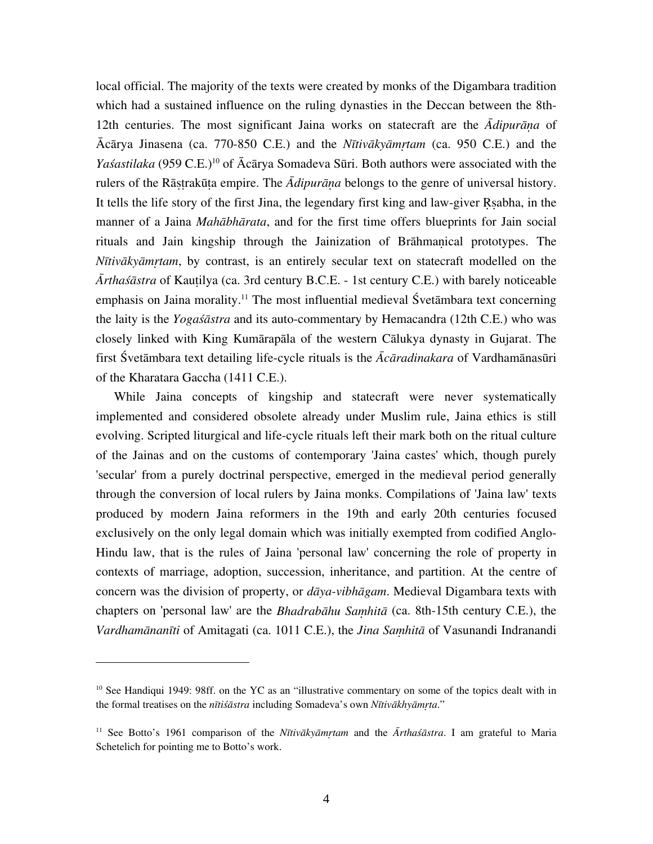local official. The majority of the texts were created by monks of the Digambara tradition which had a sustained influence on the ruling dynasties in the Deccan between the 8th-12th centuries. The most significant Jaina works on statecraft are the *Ādipurāṇa* of Ācārya Jinasena (ca. 770-850 C.E.) and the *Nītivākyāmṛtam* (ca. 950 C.E.) and the *Yaśastilaka* (959 C.E.)<sup>10</sup> of Ācārya Somadeva Sūri. Both authors were associated with the rulers of the Rāṣṭrakūṭa empire. The *Ādipurāṇa* belongs to the genre of universal history. It tells the life story of the first Jina, the legendary first king and law-giver Ṛṣabha, in the manner of a Jaina *Mahābhārata*, and for the first time offers blueprints for Jain social rituals and Jain kingship through the Jainization of Brāhmaṇical prototypes. The *Nītivākyāmṛtam*, by contrast, is an entirely secular text on statecraft modelled on the *Ārthaśāstra* of Kauṭilya (ca. 3rd century B.C.E. - 1st century C.E.) with barely noticeable emphasis on Jaina morality.<sup>11</sup> The most influential medieval Śvetāmbara text concerning the laity is the *Yogaśāstra* and its auto-commentary by Hemacandra (12th C.E.) who was closely linked with King Kumārapāla of the western Cālukya dynasty in Gujarat. The first Śvetāmbara text detailing life-cycle rituals is the *Ācāradinakara* of Vardhamānasūri of the Kharatara Gaccha (1411 C.E.).

While Jaina concepts of kingship and statecraft were never systematically implemented and considered obsolete already under Muslim rule, Jaina ethics is still evolving. Scripted liturgical and life-cycle rituals left their mark both on the ritual culture of the Jainas and on the customs of contemporary 'Jaina castes' which, though purely 'secular' from a purely doctrinal perspective, emerged in the medieval period generally through the conversion of local rulers by Jaina monks. Compilations of 'Jaina law' texts produced by modern Jaina reformers in the 19th and early 20th centuries focused exclusively on the only legal domain which was initially exempted from codified Anglo-Hindu law, that is the rules of Jaina 'personal law' concerning the role of property in contexts of marriage, adoption, succession, inheritance, and partition. At the centre of concern was the division of property, or *dāya-vibhāgam*. Medieval Digambara texts with chapters on 'personal law' are the *Bhadrabāhu Saṃhitā* (ca. 8th-15th century C.E.), the *Vardhamānanīti* of Amitagati (ca. 1011 C.E.), the *Jina Saṃhitā* of Vasunandi Indranandi

<u>.</u>

<sup>&</sup>lt;sup>10</sup> See Handiqui 1949: 98ff. on the YC as an "illustrative commentary on some of the topics dealt with in the formal treatises on the *nītiśāstra* including Somadeva's own *Nītivākhyāmṛta*."

<sup>11</sup> See Botto's 1961 comparison of the *Nītivākyāmṛtam* and the *Ārthaśāstra*. I am grateful to Maria Schetelich for pointing me to Botto's work.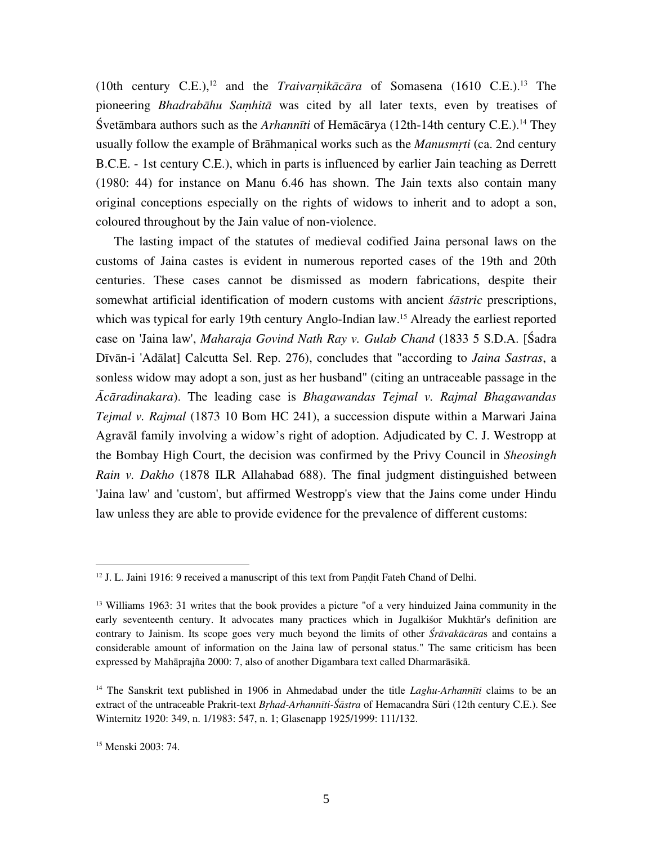(10th century C.E.),<sup>12</sup> and the *Traivarnikācāra* of Somasena (1610 C.E.).<sup>13</sup> The pioneering *Bhadrabāhu Saṃhitā* was cited by all later texts, even by treatises of Śvetāmbara authors such as the *Arhannīti* of Hemācārya (12th-14th century C.E.).14 They usually follow the example of Brāhmaṇical works such as the *Manusmṛti* (ca. 2nd century B.C.E. - 1st century C.E.), which in parts is influenced by earlier Jain teaching as Derrett (1980: 44) for instance on Manu 6.46 has shown. The Jain texts also contain many original conceptions especially on the rights of widows to inherit and to adopt a son, coloured throughout by the Jain value of non-violence.

The lasting impact of the statutes of medieval codified Jaina personal laws on the customs of Jaina castes is evident in numerous reported cases of the 19th and 20th centuries. These cases cannot be dismissed as modern fabrications, despite their somewhat artificial identification of modern customs with ancient *śāstric* prescriptions, which was typical for early 19th century Anglo-Indian law.<sup>15</sup> Already the earliest reported case on 'Jaina law', *Maharaja Govind Nath Ray v. Gulab Chand* (1833 5 S.D.A. [Śadra Dīvān-i 'Adālat] Calcutta Sel. Rep. 276), concludes that "according to *Jaina Sastras*, a sonless widow may adopt a son, just as her husband" (citing an untraceable passage in the *Ācāradinakara*). The leading case is *Bhagawandas Tejmal v. Rajmal Bhagawandas Tejmal v. Rajmal* (1873 10 Bom HC 241), a succession dispute within a Marwari Jaina Agravāl family involving a widow's right of adoption. Adjudicated by C. J. Westropp at the Bombay High Court, the decision was confirmed by the Privy Council in *Sheosingh Rain v. Dakho* (1878 ILR Allahabad 688). The final judgment distinguished between 'Jaina law' and 'custom', but affirmed Westropp's view that the Jains come under Hindu law unless they are able to provide evidence for the prevalence of different customs:

 $12$  J. L. Jaini 1916: 9 received a manuscript of this text from Pandit Fateh Chand of Delhi.

<sup>&</sup>lt;sup>13</sup> Williams 1963: 31 writes that the book provides a picture "of a very hinduized Jaina community in the early seventeenth century. It advocates many practices which in Jugalkiśor Mukhtār's definition are contrary to Jainism. Its scope goes very much beyond the limits of other *Śrāvakācāra*s and contains a considerable amount of information on the Jaina law of personal status." The same criticism has been expressed by Mahāprajña 2000: 7, also of another Digambara text called Dharmarāsikā.

<sup>14</sup> The Sanskrit text published in 1906 in Ahmedabad under the title *Laghu-Arhannīti* claims to be an extract of the untraceable Prakrit-text *Bṛhad-Arhannīti-Śāstra* of Hemacandra Sūri (12th century C.E.). See Winternitz 1920: 349, n. 1/1983: 547, n. 1; Glasenapp 1925/1999: 111/132.

<sup>15</sup> Menski 2003: 74.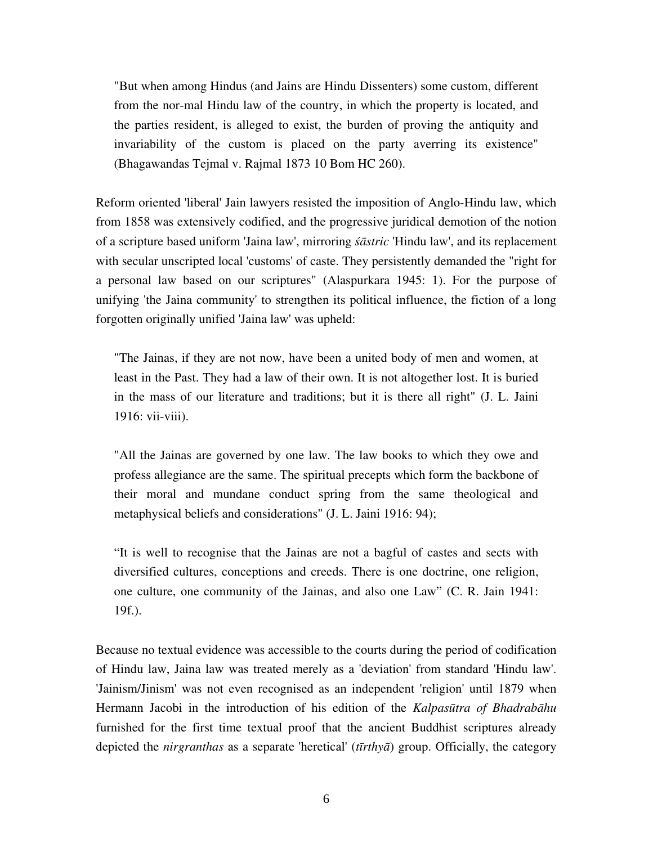"But when among Hindus (and Jains are Hindu Dissenters) some custom, different from the nor-mal Hindu law of the country, in which the property is located, and the parties resident, is alleged to exist, the burden of proving the antiquity and invariability of the custom is placed on the party averring its existence" (Bhagawandas Tejmal v. Rajmal 1873 10 Bom HC 260).

Reform oriented 'liberal' Jain lawyers resisted the imposition of Anglo-Hindu law, which from 1858 was extensively codified, and the progressive juridical demotion of the notion of a scripture based uniform 'Jaina law', mirroring *śāstric* 'Hindu law', and its replacement with secular unscripted local 'customs' of caste. They persistently demanded the "right for a personal law based on our scriptures" (Alaspurkara 1945: 1). For the purpose of unifying 'the Jaina community' to strengthen its political influence, the fiction of a long forgotten originally unified 'Jaina law' was upheld:

"The Jainas, if they are not now, have been a united body of men and women, at least in the Past. They had a law of their own. It is not altogether lost. It is buried in the mass of our literature and traditions; but it is there all right" (J. L. Jaini 1916: vii-viii).

"All the Jainas are governed by one law. The law books to which they owe and profess allegiance are the same. The spiritual precepts which form the backbone of their moral and mundane conduct spring from the same theological and metaphysical beliefs and considerations" (J. L. Jaini 1916: 94);

"It is well to recognise that the Jainas are not a bagful of castes and sects with diversified cultures, conceptions and creeds. There is one doctrine, one religion, one culture, one community of the Jainas, and also one Law" (C. R. Jain 1941: 19f.).

Because no textual evidence was accessible to the courts during the period of codification of Hindu law, Jaina law was treated merely as a 'deviation' from standard 'Hindu law'. 'Jainism/Jinism' was not even recognised as an independent 'religion' until 1879 when Hermann Jacobi in the introduction of his edition of the *Kalpasūtra of Bhadrabāhu* furnished for the first time textual proof that the ancient Buddhist scriptures already depicted the *nirgranthas* as a separate 'heretical' (*tīrthyā*) group. Officially, the category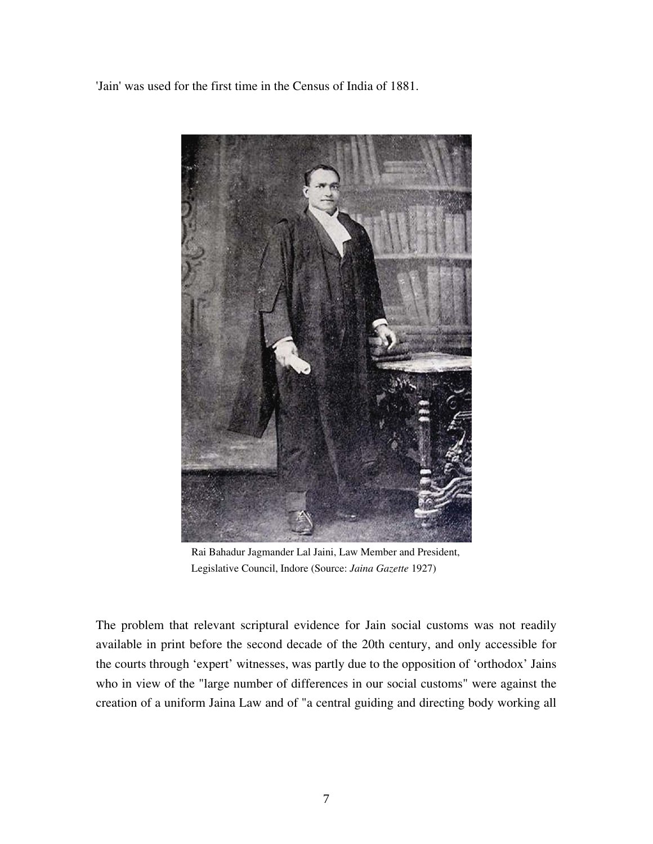'Jain' was used for the first time in the Census of India of 1881.



 Rai Bahadur Jagmander Lal Jaini, Law Member and President, Legislative Council, Indore (Source: *Jaina Gazette* 1927)

The problem that relevant scriptural evidence for Jain social customs was not readily available in print before the second decade of the 20th century, and only accessible for the courts through 'expert' witnesses, was partly due to the opposition of 'orthodox' Jains who in view of the "large number of differences in our social customs" were against the creation of a uniform Jaina Law and of "a central guiding and directing body working all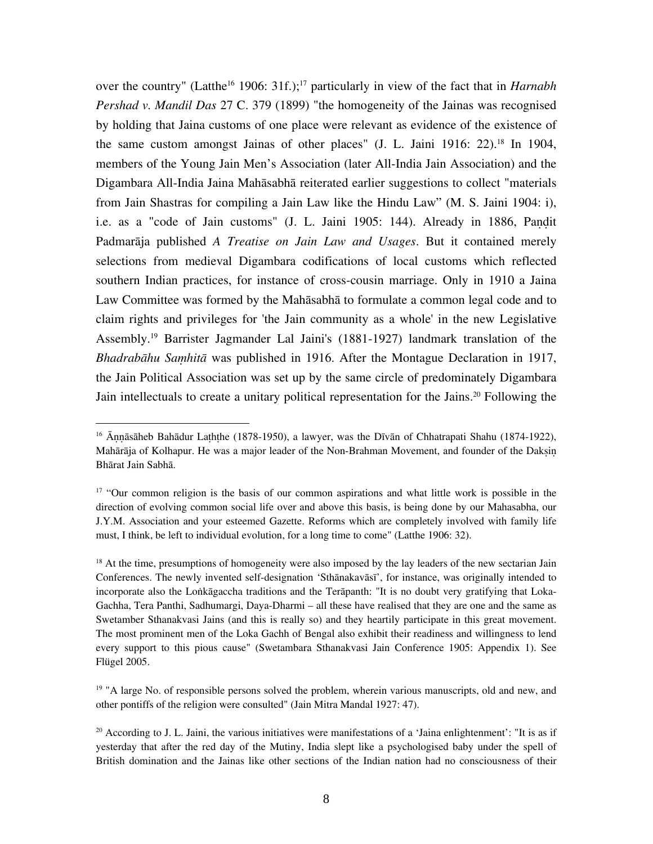over the country" (Latthe<sup>16</sup> 1906: 31f.);<sup>17</sup> particularly in view of the fact that in *Harnabh Pershad v. Mandil Das* 27 C. 379 (1899) "the homogeneity of the Jainas was recognised by holding that Jaina customs of one place were relevant as evidence of the existence of the same custom amongst Jainas of other places" (J. L. Jaini 1916: 22).18 In 1904, members of the Young Jain Men's Association (later All-India Jain Association) and the Digambara All-India Jaina Mahāsabhā reiterated earlier suggestions to collect "materials from Jain Shastras for compiling a Jain Law like the Hindu Law" (M. S. Jaini 1904: i), i.e. as a "code of Jain customs" (J. L. Jaini 1905: 144). Already in 1886, Paṇḍit Padmarāja published *A Treatise on Jain Law and Usages*. But it contained merely selections from medieval Digambara codifications of local customs which reflected southern Indian practices, for instance of cross-cousin marriage. Only in 1910 a Jaina Law Committee was formed by the Mahāsabhā to formulate a common legal code and to claim rights and privileges for 'the Jain community as a whole' in the new Legislative Assembly.19 Barrister Jagmander Lal Jaini's (1881-1927) landmark translation of the *Bhadrabāhu Saṃhitā* was published in 1916. After the Montague Declaration in 1917, the Jain Political Association was set up by the same circle of predominately Digambara Jain intellectuals to create a unitary political representation for the Jains.<sup>20</sup> Following the

 $\overline{a}$ 

<sup>19</sup> "A large No. of responsible persons solved the problem, wherein various manuscripts, old and new, and other pontiffs of the religion were consulted" (Jain Mitra Mandal 1927: 47).

<sup>&</sup>lt;sup>16</sup> Ānnāsāheb Bahādur Laththe (1878-1950), a lawyer, was the Dīvān of Chhatrapati Shahu (1874-1922), Mahārāja of Kolhapur. He was a major leader of the Non-Brahman Movement, and founder of the Daksin Bhārat Jain Sabhā.

<sup>&</sup>lt;sup>17</sup> "Our common religion is the basis of our common aspirations and what little work is possible in the direction of evolving common social life over and above this basis, is being done by our Mahasabha, our J.Y.M. Association and your esteemed Gazette. Reforms which are completely involved with family life must, I think, be left to individual evolution, for a long time to come" (Latthe 1906: 32).

<sup>&</sup>lt;sup>18</sup> At the time, presumptions of homogeneity were also imposed by the lay leaders of the new sectarian Jain Conferences. The newly invented self-designation 'Sthānakavāsī', for instance, was originally intended to incorporate also the Loṅkāgaccha traditions and the Terāpanth: "It is no doubt very gratifying that Loka-Gachha, Tera Panthi, Sadhumargi, Daya-Dharmi – all these have realised that they are one and the same as Swetamber Sthanakvasi Jains (and this is really so) and they heartily participate in this great movement. The most prominent men of the Loka Gachh of Bengal also exhibit their readiness and willingness to lend every support to this pious cause" (Swetambara Sthanakvasi Jain Conference 1905: Appendix 1). See Flügel 2005.

<sup>&</sup>lt;sup>20</sup> According to J. L. Jaini, the various initiatives were manifestations of a 'Jaina enlightenment': "It is as if yesterday that after the red day of the Mutiny, India slept like a psychologised baby under the spell of British domination and the Jainas like other sections of the Indian nation had no consciousness of their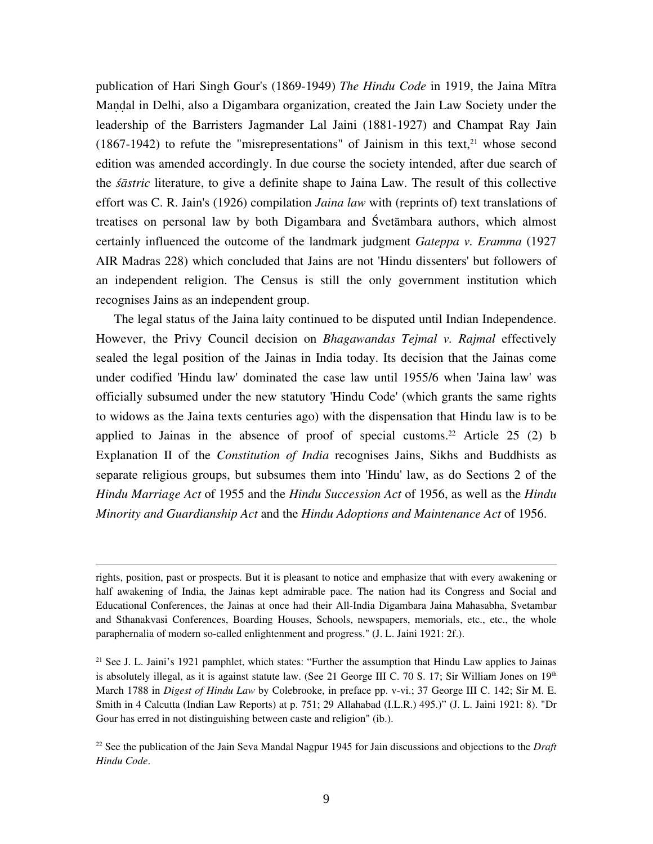publication of Hari Singh Gour's (1869-1949) *The Hindu Code* in 1919, the Jaina Mītra Maṇḍal in Delhi, also a Digambara organization, created the Jain Law Society under the leadership of the Barristers Jagmander Lal Jaini (1881-1927) and Champat Ray Jain  $(1867-1942)$  to refute the "misrepresentations" of Jainism in this text,  $21$  whose second edition was amended accordingly. In due course the society intended, after due search of the *śāstric* literature, to give a definite shape to Jaina Law. The result of this collective effort was C. R. Jain's (1926) compilation *Jaina law* with (reprints of) text translations of treatises on personal law by both Digambara and Śvetāmbara authors, which almost certainly influenced the outcome of the landmark judgment *Gateppa v. Eramma* (1927 AIR Madras 228) which concluded that Jains are not 'Hindu dissenters' but followers of an independent religion. The Census is still the only government institution which recognises Jains as an independent group.

The legal status of the Jaina laity continued to be disputed until Indian Independence. However, the Privy Council decision on *Bhagawandas Tejmal v. Rajmal* effectively sealed the legal position of the Jainas in India today. Its decision that the Jainas come under codified 'Hindu law' dominated the case law until 1955/6 when 'Jaina law' was officially subsumed under the new statutory 'Hindu Code' (which grants the same rights to widows as the Jaina texts centuries ago) with the dispensation that Hindu law is to be applied to Jainas in the absence of proof of special customs.<sup>22</sup> Article 25 (2) b Explanation II of the *Constitution of India* recognises Jains, Sikhs and Buddhists as separate religious groups, but subsumes them into 'Hindu' law, as do Sections 2 of the *Hindu Marriage Act* of 1955 and the *Hindu Succession Act* of 1956, as well as the *Hindu Minority and Guardianship Act* and the *Hindu Adoptions and Maintenance Act* of 1956.

rights, position, past or prospects. But it is pleasant to notice and emphasize that with every awakening or half awakening of India, the Jainas kept admirable pace. The nation had its Congress and Social and Educational Conferences, the Jainas at once had their All-India Digambara Jaina Mahasabha, Svetambar and Sthanakvasi Conferences, Boarding Houses, Schools, newspapers, memorials, etc., etc., the whole paraphernalia of modern so-called enlightenment and progress." (J. L. Jaini 1921: 2f.).

1

<sup>21</sup> See J. L. Jaini's 1921 pamphlet, which states: "Further the assumption that Hindu Law applies to Jainas is absolutely illegal, as it is against statute law. (See 21 George III C. 70 S. 17; Sir William Jones on  $19<sup>th</sup>$ March 1788 in *Digest of Hindu Law* by Colebrooke, in preface pp. v-vi.; 37 George III C. 142; Sir M. E. Smith in 4 Calcutta (Indian Law Reports) at p. 751; 29 Allahabad (I.L.R.) 495.)" (J. L. Jaini 1921: 8). "Dr Gour has erred in not distinguishing between caste and religion" (ib.).

22 See the publication of the Jain Seva Mandal Nagpur 1945 for Jain discussions and objections to the *Draft Hindu Code*.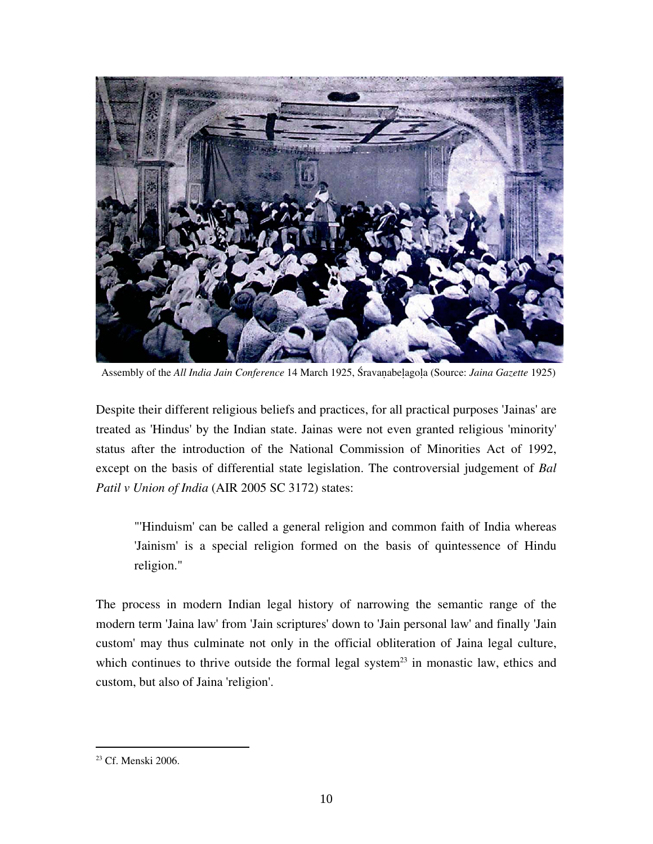

Assembly of the *All India Jain Conference* 14 March 1925, Śravaṇabeḷagoḷa (Source: *Jaina Gazette* 1925)

Despite their different religious beliefs and practices, for all practical purposes 'Jainas' are treated as 'Hindus' by the Indian state. Jainas were not even granted religious 'minority' status after the introduction of the National Commission of Minorities Act of 1992, except on the basis of differential state legislation. The controversial judgement of *Bal Patil v Union of India* (AIR 2005 SC 3172) states:

"'Hinduism' can be called a general religion and common faith of India whereas 'Jainism' is a special religion formed on the basis of quintessence of Hindu religion."

The process in modern Indian legal history of narrowing the semantic range of the modern term 'Jaina law' from 'Jain scriptures' down to 'Jain personal law' and finally 'Jain custom' may thus culminate not only in the official obliteration of Jaina legal culture, which continues to thrive outside the formal legal system<sup>23</sup> in monastic law, ethics and custom, but also of Jaina 'religion'.

<sup>23</sup> Cf. Menski 2006.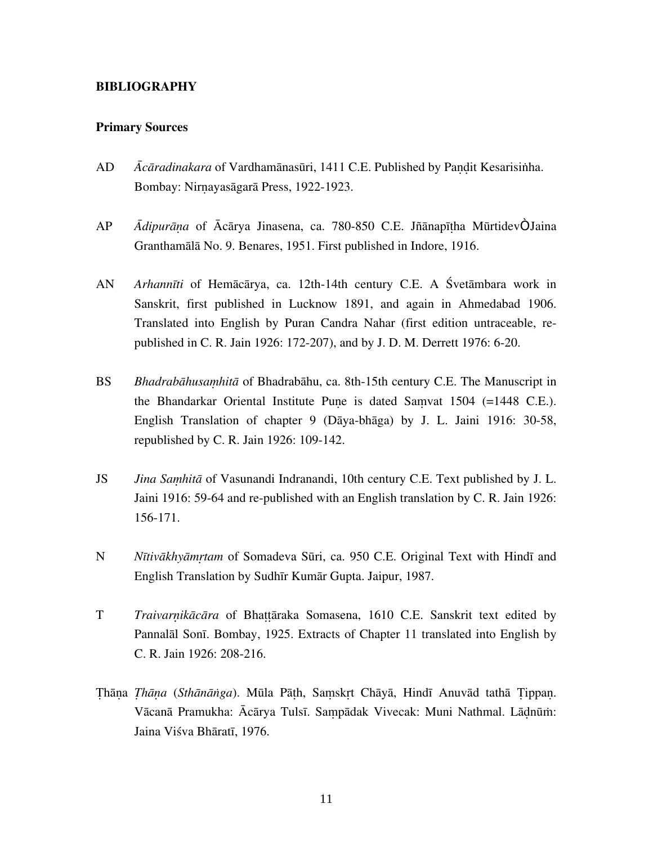### **BIBLIOGRAPHY**

#### **Primary Sources**

- AD *Ācāradinakara* of Vardhamānasūri, 1411 C.E. Published by Paṇḍit Kesarisiṅha. Bombay: Nirṇayasāgarā Press, 1922-1923.
- AP *Ādipurāṇa* of Ācārya Jinasena, ca. 780-850 C.E. Jñānapīṭha MūrtidevÒ Jaina Granthamālā No. 9. Benares, 1951. First published in Indore, 1916.
- AN *Arhannīti* of Hemācārya, ca. 12th-14th century C.E. A Śvetāmbara work in Sanskrit, first published in Lucknow 1891, and again in Ahmedabad 1906. Translated into English by Puran Candra Nahar (first edition untraceable, republished in C. R. Jain 1926: 172-207), and by J. D. M. Derrett 1976: 6-20.
- BS *Bhadrabāhusaṃhitā* of Bhadrabāhu, ca. 8th-15th century C.E. The Manuscript in the Bhandarkar Oriental Institute Pune is dated Samvat  $1504$  (=1448 C.E.). English Translation of chapter 9 (Dāya-bhāga) by J. L. Jaini 1916: 30-58, republished by C. R. Jain 1926: 109-142.
- JS *Jina Sahitā* of Vasunandi Indranandi, 10th century C.E. Text published by J. L. Jaini 1916: 59-64 and re-published with an English translation by C. R. Jain 1926: 156-171.
- N *Nītivākhyāmṛtam* of Somadeva Sūri, ca. 950 C.E. Original Text with Hindī and English Translation by Sudhīr Kumār Gupta. Jaipur, 1987.
- T *Traivarnikācāra* of Bhattāraka Somasena, 1610 C.E. Sanskrit text edited by Pannalāl Sonī. Bombay, 1925. Extracts of Chapter 11 translated into English by C. R. Jain 1926: 208-216.
- Ṭhāṇa *Ṭhāṇa* (*Sthānāṅga*). Mūla Pāṭh, Saṃskṛt Chāyā, Hindī Anuvād tathā Ṭippaṇ. Vācanā Pramukha: Ācārya Tulsī. Saṃpādak Vivecak: Muni Nathmal. Lāḍnūṁ: Jaina Viśva Bhāratī, 1976.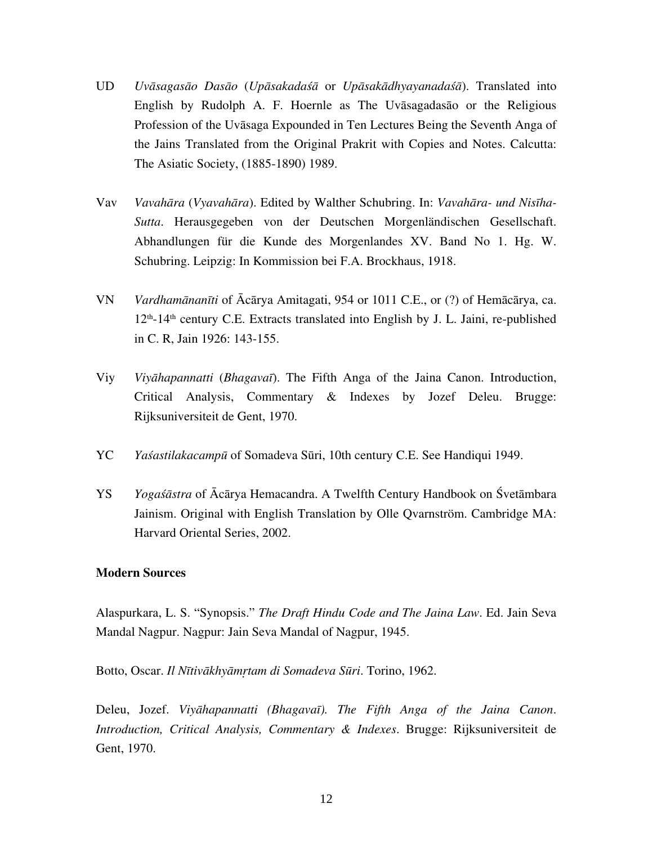- UD *Uvāsagasāo Dasāo* (*Upāsakadaśā* or *Upāsakādhyayanadaśā*). Translated into English by Rudolph A. F. Hoernle as The Uvāsagadasāo or the Religious Profession of the Uvāsaga Expounded in Ten Lectures Being the Seventh Anga of the Jains Translated from the Original Prakrit with Copies and Notes. Calcutta: The Asiatic Society, (1885-1890) 1989.
- Vav *Vavahāra* (*Vyavahāra*). Edited by Walther Schubring. In: *Vavahāra- und Nisīha-Sutta*. Herausgegeben von der Deutschen Morgenländischen Gesellschaft. Abhandlungen für die Kunde des Morgenlandes XV. Band No 1. Hg. W. Schubring. Leipzig: In Kommission bei F.A. Brockhaus, 1918.
- VN *Vardhamānanīti* of Ācārya Amitagati, 954 or 1011 C.E., or (?) of Hemācārya, ca.  $12<sup>th</sup>$ -14<sup>th</sup> century C.E. Extracts translated into English by J. L. Jaini, re-published in C. R, Jain 1926: 143-155.
- Viy *Viyāhapannatti* (*Bhagavaī*). The Fifth Anga of the Jaina Canon. Introduction, Critical Analysis, Commentary & Indexes by Jozef Deleu. Brugge: Rijksuniversiteit de Gent, 1970.
- YC *Yaśastilakacampū* of Somadeva Sūri, 10th century C.E. See Handiqui 1949.
- YS *Yogaśāstra* of Ācārya Hemacandra. A Twelfth Century Handbook on Śvetāmbara Jainism. Original with English Translation by Olle Qvarnström. Cambridge MA: Harvard Oriental Series, 2002.

# **Modern Sources**

Alaspurkara, L. S. "Synopsis." *The Draft Hindu Code and The Jaina Law*. Ed. Jain Seva Mandal Nagpur. Nagpur: Jain Seva Mandal of Nagpur, 1945.

Botto, Oscar. *Il Nītivākhyāmtam di Somadeva Sūri*. Torino, 1962.

Deleu, Jozef. *Viyāhapannatti (Bhagavaī). The Fifth Anga of the Jaina Canon*. *Introduction, Critical Analysis, Commentary & Indexes*. Brugge: Rijksuniversiteit de Gent, 1970.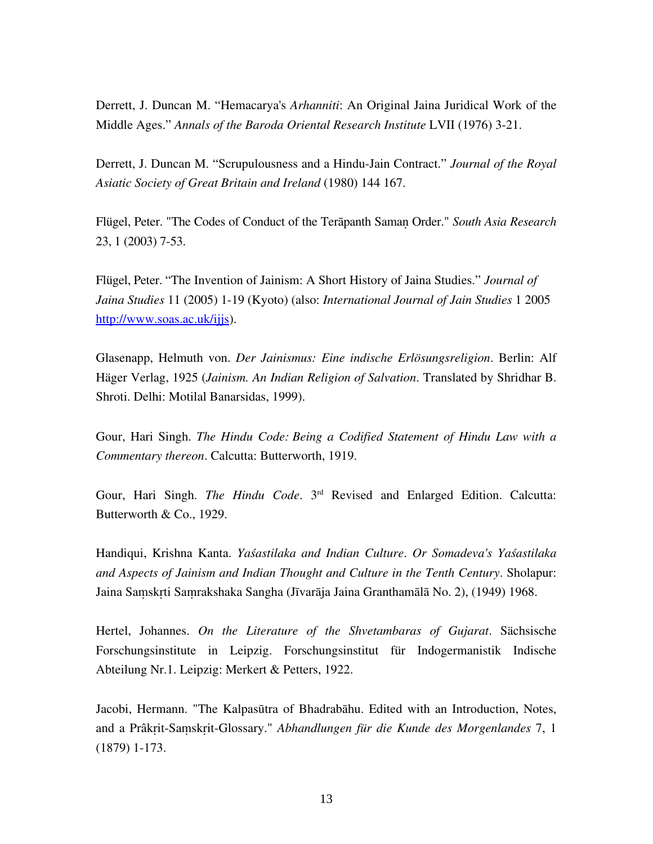Derrett, J. Duncan M. "Hemacarya's *Arhanniti*: An Original Jaina Juridical Work of the Middle Ages." *Annals of the Baroda Oriental Research Institute* LVII (1976) 3-21.

Derrett, J. Duncan M. "Scrupulousness and a Hindu-Jain Contract." *Journal of the Royal Asiatic Society of Great Britain and Ireland* (1980) 144 167.

Flügel, Peter. "The Codes of Conduct of the Terāpanth Samaṇ Order." *South Asia Research* 23, 1 (2003) 7-53.

Flügel, Peter. "The Invention of Jainism: A Short History of Jaina Studies." *Journal of Jaina Studies* 11 (2005) 1-19 (Kyoto) (also: *International Journal of Jain Studies* 1 2005 http://www.soas.ac.uk/ijjs).

Glasenapp, Helmuth von. *Der Jainismus: Eine indische Erlösungsreligion*. Berlin: Alf Häger Verlag, 1925 (*Jainism. An Indian Religion of Salvation*. Translated by Shridhar B. Shroti. Delhi: Motilal Banarsidas, 1999).

Gour, Hari Singh. *The Hindu Code: Being a Codified Statement of Hindu Law with a Commentary thereon*. Calcutta: Butterworth, 1919.

Gour, Hari Singh. *The Hindu Code*. 3rd Revised and Enlarged Edition. Calcutta: Butterworth & Co., 1929.

Handiqui, Krishna Kanta. *Yaśastilaka and Indian Culture*. *Or Somadeva's Yaśastilaka and Aspects of Jainism and Indian Thought and Culture in the Tenth Century*. Sholapur: Jaina Saṃskṛti Saṃrakshaka Sangha (Jīvarāja Jaina Granthamālā No. 2), (1949) 1968.

Hertel, Johannes. *On the Literature of the Shvetambaras of Gujarat*. Sächsische Forschungsinstitute in Leipzig. Forschungsinstitut für Indogermanistik Indische Abteilung Nr.1. Leipzig: Merkert & Petters, 1922.

Jacobi, Hermann. "The Kalpasūtra of Bhadrabāhu. Edited with an Introduction, Notes, and a Prâkṛit-Saṃskṛit-Glossary." *Abhandlungen für die Kunde des Morgenlandes* 7, 1 (1879) 1-173.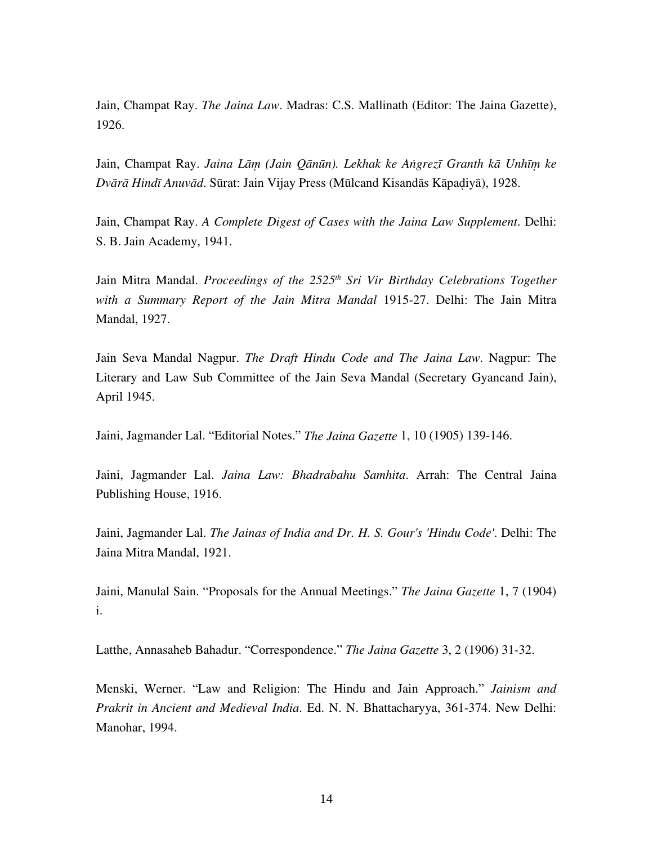Jain, Champat Ray. *The Jaina Law*. Madras: C.S. Mallinath (Editor: The Jaina Gazette), 1926.

Jain, Champat Ray. *Jaina Lāṃ (Jain Qānūn). Lekhak ke Aṅgrezī Granth kā Unhīṃ ke Dvārā Hindī Anuvād*. Sūrat: Jain Vijay Press (Mūlcand Kisandās Kāpaḍiyā), 1928.

Jain, Champat Ray. *A Complete Digest of Cases with the Jaina Law Supplement*. Delhi: S. B. Jain Academy, 1941.

Jain Mitra Mandal. *Proceedings of the 2525<sup>th</sup> Sri Vir Birthday Celebrations Together with a Summary Report of the Jain Mitra Mandal* 1915-27. Delhi: The Jain Mitra Mandal, 1927.

Jain Seva Mandal Nagpur. *The Draft Hindu Code and The Jaina Law*. Nagpur: The Literary and Law Sub Committee of the Jain Seva Mandal (Secretary Gyancand Jain), April 1945.

Jaini, Jagmander Lal. "Editorial Notes." *The Jaina Gazette* 1, 10 (1905) 139-146.

Jaini, Jagmander Lal. *Jaina Law: Bhadrabahu Samhita*. Arrah: The Central Jaina Publishing House, 1916.

Jaini, Jagmander Lal. *The Jainas of India and Dr. H. S. Gour's 'Hindu Code'*. Delhi: The Jaina Mitra Mandal, 1921.

Jaini, Manulal Sain. "Proposals for the Annual Meetings." *The Jaina Gazette* 1, 7 (1904) i.

Latthe, Annasaheb Bahadur. "Correspondence." *The Jaina Gazette* 3, 2 (1906) 31-32.

Menski, Werner. "Law and Religion: The Hindu and Jain Approach." *Jainism and Prakrit in Ancient and Medieval India*. Ed. N. N. Bhattacharyya, 361-374. New Delhi: Manohar, 1994.